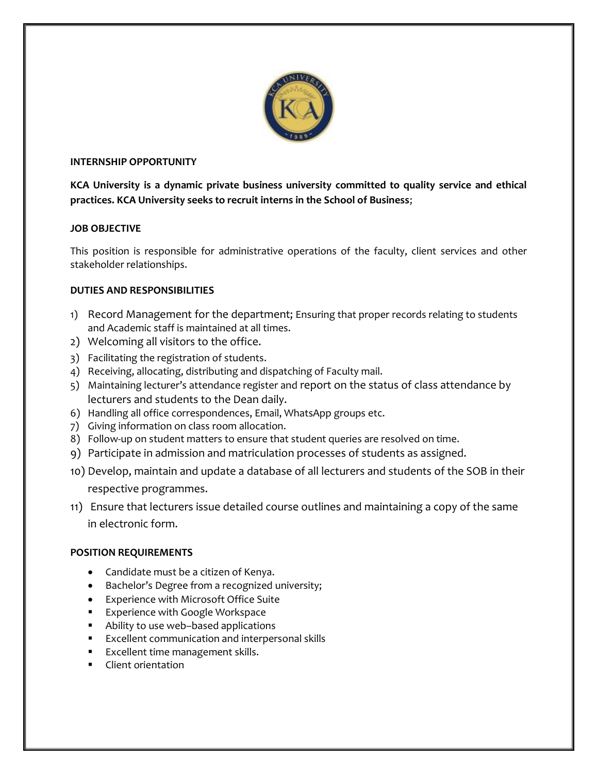

### INTERNSHIP OPPORTUNITY

KCA University is a dynamic private business university committed to quality service and ethical practices. KCA University seeks to recruit interns in the School of Business;

## JOB OBJECTIVE

This position is responsible for administrative operations of the faculty, client services and other stakeholder relationships.

## DUTIES AND RESPONSIBILITIES

- 1) Record Management for the department; Ensuring that proper records relating to students and Academic staff is maintained at all times.
- 2) Welcoming all visitors to the office.
- 3) Facilitating the registration of students.
- 4) Receiving, allocating, distributing and dispatching of Faculty mail.
- 5) Maintaining lecturer's attendance register and report on the status of class attendance by lecturers and students to the Dean daily.
- 6) Handling all office correspondences, Email, WhatsApp groups etc.
- 7) Giving information on class room allocation.
- 8) Follow-up on student matters to ensure that student queries are resolved on time.
- 9) Participate in admission and matriculation processes of students as assigned.
- 10) Develop, maintain and update a database of all lecturers and students of the SOB in their respective programmes.
- 11) Ensure that lecturers issue detailed course outlines and maintaining a copy of the same in electronic form.

# POSITION REQUIREMENTS

- Candidate must be a citizen of Kenya.
- Bachelor's Degree from a recognized university;
- Experience with Microsoft Office Suite
- **Experience with Google Workspace**
- Ability to use web–based applications
- Excellent communication and interpersonal skills
- **Excellent time management skills.**
- **Client orientation**